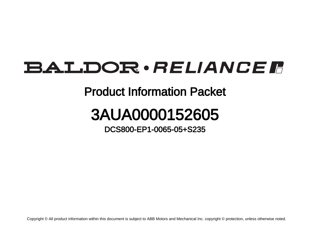## **BALDOR** · RELIANCE F

## Product Information Packet

## 3AUA0000152605

DCS800-EP1-0065-05+S235

Copyright © All product information within this document is subject to ABB Motors and Mechanical Inc. copyright © protection, unless otherwise noted.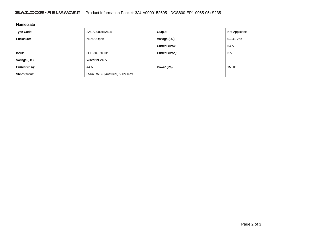## BALDOR · RELIANCE F Product Information Packet: 3AUA0000152605 - DCS800-EP1-0065-05+S235

| Nameplate             |                               |                 |                |
|-----------------------|-------------------------------|-----------------|----------------|
| <b>Type Code:</b>     | 3AUA0000152605                | Output:         | Not Applicable |
| Enclosure:            | NEMA Open                     | Voltage (U2):   | 0U1 Vac        |
|                       |                               | Current (I2n):  | 54 A           |
| Input:                | 3PH 5060 Hz                   | Current (I2hd): | <b>NA</b>      |
| Voltage (U1):         | Wired for 240V                |                 |                |
| Current (I1n):        | 44 A                          | Power (Pn):     | 15 HP          |
| <b>Short Circuit:</b> | 65Ka RMS Symetrical, 500V max |                 |                |